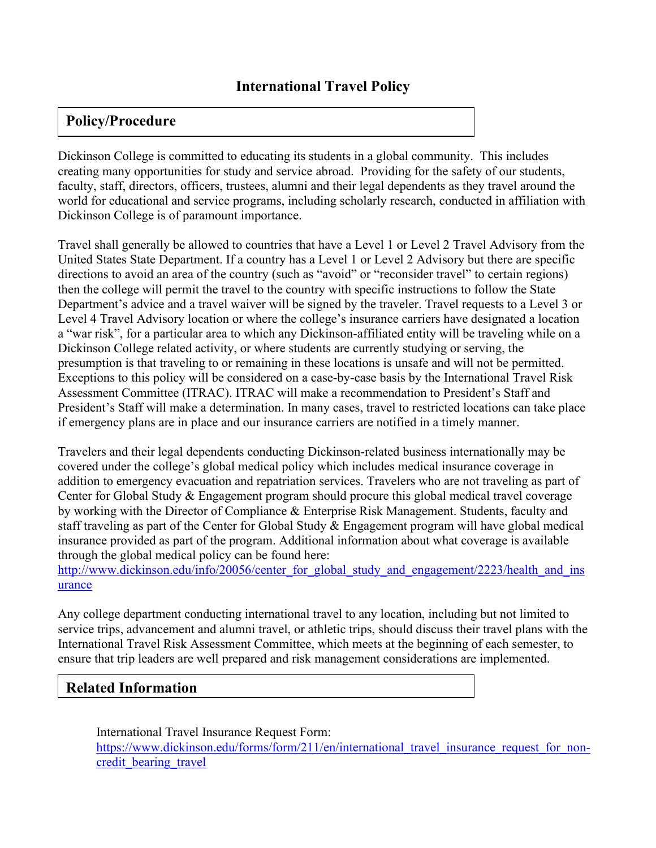## **Policy/Procedure**

Dickinson College is committed to educating its students in a global community. This includes creating many opportunities for study and service abroad. Providing for the safety of our students, faculty, staff, directors, officers, trustees, alumni and their legal dependents as they travel around the world for educational and service programs, including scholarly research, conducted in affiliation with Dickinson College is of paramount importance.

Travel shall generally be allowed to countries that have a Level 1 or Level 2 Travel Advisory from the United States State Department. If a country has a Level 1 or Level 2 Advisory but there are specific directions to avoid an area of the country (such as "avoid" or "reconsider travel" to certain regions) then the college will permit the travel to the country with specific instructions to follow the State Department's advice and a travel waiver will be signed by the traveler. Travel requests to a Level 3 or Level 4 Travel Advisory location or where the college's insurance carriers have designated a location a "war risk", for a particular area to which any Dickinson-affiliated entity will be traveling while on a Dickinson College related activity, or where students are currently studying or serving, the presumption is that traveling to or remaining in these locations is unsafe and will not be permitted. Exceptions to this policy will be considered on a case-by-case basis by the International Travel Risk Assessment Committee (ITRAC). ITRAC will make a recommendation to President's Staff and President's Staff will make a determination. In many cases, travel to restricted locations can take place if emergency plans are in place and our insurance carriers are notified in a timely manner.

Travelers and their legal dependents conducting Dickinson-related business internationally may be covered under the college's global medical policy which includes medical insurance coverage in addition to emergency evacuation and repatriation services. Travelers who are not traveling as part of Center for Global Study & Engagement program should procure this global medical travel coverage by working with the Director of Compliance & Enterprise Risk Management. Students, faculty and staff traveling as part of the Center for Global Study & Engagement program will have global medical insurance provided as part of the program. Additional information about what coverage is available through the global medical policy can be found here:

http://www.dickinson.edu/info/20056/center for global study and engagement/2223/health and ins [urance](http://www.dickinson.edu/info/20056/center_for_global_study_and_engagement/2223/health_and_insurance)

Any college department conducting international travel to any location, including but not limited to service trips, advancement and alumni travel, or athletic trips, should discuss their travel plans with the International Travel Risk Assessment Committee, which meets at the beginning of each semester, to ensure that trip leaders are well prepared and risk management considerations are implemented.

## **Related Information**

International Travel Insurance Request Form: [https://www.dickinson.edu/forms/form/211/en/international\\_travel\\_insurance\\_request\\_for\\_non](https://www.dickinson.edu/forms/form/211/en/international_travel_insurance_request_for_non-credit_bearing_travel)[credit\\_bearing\\_travel](https://www.dickinson.edu/forms/form/211/en/international_travel_insurance_request_for_non-credit_bearing_travel)